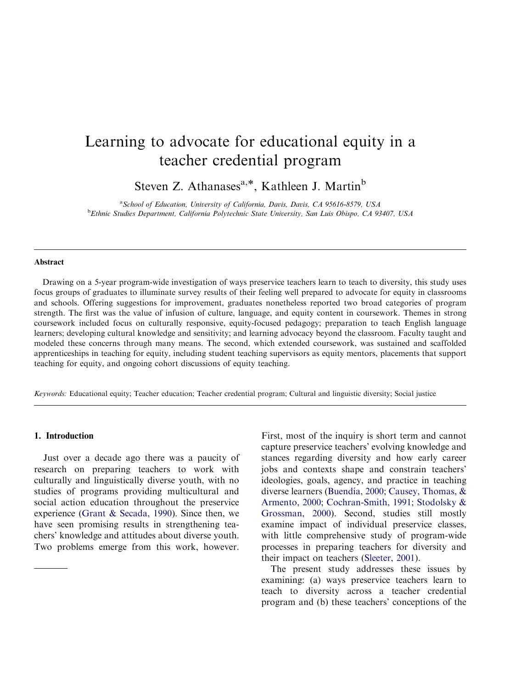## Learning to advocate for educational equity in a teacher credential program

Steven Z. Athanases<sup>a,\*</sup>, Kathleen J. Martin<sup>b</sup>

<sup>a</sup> School of Education, University of California, Davis, Davis, CA 95616-8579, USA <sup>b</sup> Ethnic Studies Department, California Polytechnic State University, San Luis Obispo, CA 93407, USA

#### Abstract

Drawing on a 5-year program-wide investigation of ways preservice teachers learn to teach to diversity, this study uses focus groups of graduates to illuminate survey results of their feeling well prepared to advocate for equity in classrooms and schools. Offering suggestions for improvement, graduates nonetheless reported two broad categories of program strength. The first was the value of infusion of culture, language, and equity content in coursework. Themes in strong coursework included focus on culturally responsive, equity-focused pedagogy; preparation to teach English language learners; developing cultural knowledge and sensitivity; and learning advocacy beyond the classroom. Faculty taught and modeled these concerns through many means. The second, which extended coursework, was sustained and scaffolded apprenticeships in teaching for equity, including student teaching supervisors as equity mentors, placements that support teaching for equity, and ongoing cohort discussions of equity teaching.

Keywords: Educational equity; Teacher education; Teacher credential program; Cultural and linguistic diversity; Social justice

#### 1. Introduction

Just over a decade ago there was a paucity of research on preparing teachers to work with culturally and linguistically diverse youth, with no studies of programs providing multicultural and social action education throughout the preservice experience [\(Grant](#page-17-0) & [Secada,](#page-17-0) 1990). Since then, we have seen promising results in strengthening teachers' knowledge and attitudes about diverse youth. Two problems emerge from this work, however.

First, most of the inquiry is short term and cannot capture preservice teachers' evolving knowledge and stances regarding diversity and how early career jobs and contexts shape and constrain teachers' ideologies, goals, agency, and practice in teaching diverse learners (Buendía, 2000; Causey, [Thomas,](#page-17-0) & [Armento,](#page-17-0) 2000; [Cochran-Smith,](#page-17-0) 1991; [Stodolsky](#page-18-0) & [Grossman,](#page-18-0) 2000). Second, studies still mostly examine impact of individual preservice classes, with little comprehensive study of program-wide processes in preparing teachers for diversity and their impact on teachers [\(Sleeter,](#page-18-0) 2001).

The present study addresses these issues by teach to diversity across a teacher credentialprogram and (b) these teachers' conceptions of the examining: (a) ways preservice teachers learn to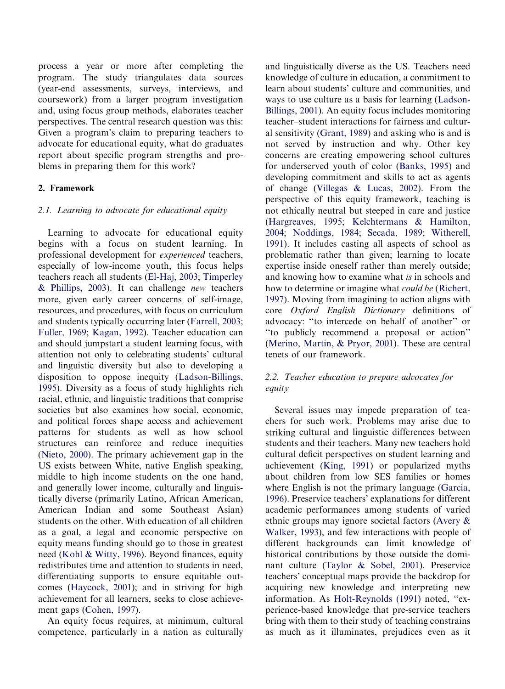process a year or more after completing the program. The study triangulates data sources (year-end assessments, surveys, interviews, and coursework) from a larger program investigation and, using focus group methods, elaborates teacher perspectives. The central research question was this: Given a program's claim to preparing teachers to advocate for educational equity, what do graduates report about specific program strengths and problems in preparing them for this work?

#### 2. Framework

#### 2.1. Learning to advocate for educational equity

Learning to advocate for educational equity begins with a focus on student learning. In professional development for experienced teachers, especially of low-income youth, this focus helps teachers reach all students [\(El-Haj,](#page-17-0) 2003; [Timperley](#page-18-0) & [Phillips,](#page-18-0) 2003). It can challenge new teachers more, given early career concerns of self-image, resources, and procedures, with focus on curriculum and students typically occurring later [\(Farrell,](#page-17-0) 2003; [Fuller,](#page-17-0) 1969; [Kagan,](#page-17-0) 1992). Teacher education can and should jumpstart a student learning focus, with attention not only to celebrating students' cultural and linguistic diversity but also to developing a disposition to oppose inequity [\(Ladson-Billings,](#page-18-0) [1995](#page-18-0)). Diversity as a focus of study highlights rich racial, ethnic, and linguistic traditions that comprise societies but also examines how social, economic, and political forces shape access and achievement patterns for students as well as how school structures can reinforce and reduce inequities ([Nieto,](#page-18-0) 2000). The primary achievement gap in the US exists between White, native English speaking, middle to high income students on the one hand, and generally lower income, culturally and linguistically diverse (primarily Latino, African American, American Indian and some Southeast Asian) students on the other. With education of all children as a goal, a legal and economic perspective on equity means funding should go to those in greatest need [\(Kohl](#page-17-0) & [Witty,](#page-17-0) 1996). Beyond finances, equity redistributes time and attention to students in need, differentiating supports to ensure equitable outcomes [\(Haycock,](#page-17-0) 2001); and in striving for high achievement for all learners, seeks to close achievement gaps ([Cohen,](#page-17-0) 1997).

An equity focus requires, at minimum, cultural competence, particularly in a nation as culturally

and linguistically diverse as the US. Teachers need knowledge of culture in education, a commitment to learn about students' culture and communities, and ways to use culture as a basis for learning [\(Ladson-](#page-18-0)[Billings,](#page-18-0) 2001). An equity focus includes monitoring teacher–student interactions for fairness and cultural sensitivity [\(Grant,](#page-17-0) 1989) and asking who is and is not served by instruction and why. Other key concerns are creating empowering school cultures for underserved youth of color ([Banks,](#page-16-0) 1995) and developing commitment and skills to act as agents of change [\(Villegas](#page-18-0) & [Lucas,](#page-18-0) 2002). From the perspective of this equity framework, teaching is not ethically neutral but steeped in care and justice ([Hargreaves,](#page-17-0) 1995; [Kelchtermans](#page-17-0) & [Hamilton,](#page-17-0) [2004](#page-17-0); [Noddings,](#page-18-0) 1984; [Secada,](#page-18-0) 1989; [Witherell,](#page-19-0) [1991](#page-19-0)). It includes casting all aspects of school as problematic rather than given; learning to locate expertise inside oneself rather than merely outside; and knowing how to examine what is in schools and how to determine or imagine what *could be* ([Richert,](#page-18-0) [1997](#page-18-0)). Moving from imagining to action aligns with core Oxford English Dictionary definitions of advocacy: ''to intercede on behalf of another'' or ''to publicly recommend a proposal or action'' ([Merino,](#page-18-0) Martin, & [Pryor,](#page-18-0) 2001). These are central tenets of our framework.

#### 2.2. Teacher education to prepare advocates for equity

Several issues may impede preparation of teachers for such work. Problems may arise due to striking cultural and linguistic differences between students and their teachers. Many new teachers hold cultural deficit perspectives on student learning and achievement ([King,](#page-17-0) 1991) or popularized myths about children from low SES families or homes where English is not the primary language ([Garcia,](#page-17-0) [1996](#page-17-0)). Preservice teachers' explanations for different academic performances among students of varied ethnic groups may ignore societal factors [\(Avery](#page-16-0) & [Walker,](#page-16-0) 1993), and few interactions with people of different backgrounds can limit knowledge of historical contributions by those outside the dominant culture [\(Taylor](#page-18-0) & [Sobel,](#page-18-0) 2001). Preservice teachers' conceptual maps provide the backdrop for acquiring new knowledge and interpreting new information. As [Holt-Reynolds](#page-17-0) (1991) noted, ''experience-based knowledge that pre-service teachers bring with them to their study of teaching constrains as much as it illuminates, prejudices even as it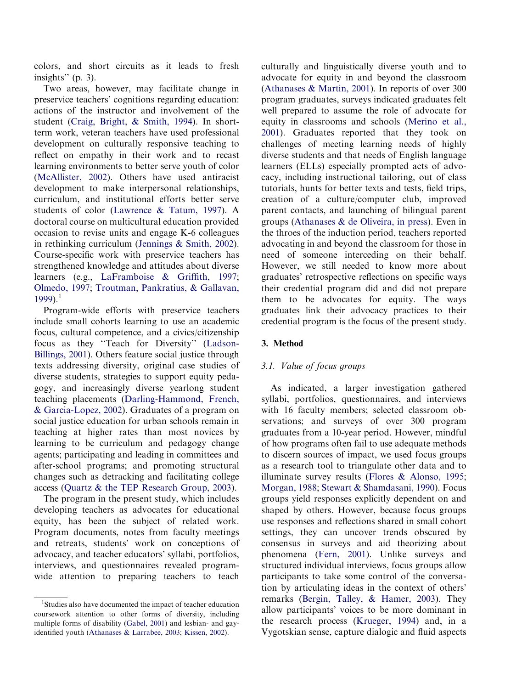colors, and short circuits as it leads to fresh insights'' (p. 3).

Two areas, however, may facilitate change in preservice teachers' cognitions regarding education: actions of the instructor and involvement of the student (Craig, [Bright,](#page-17-0) & [Smith,](#page-17-0) 1994). In shortterm work, veteran teachers have used professional development on culturally responsive teaching to reflect on empathy in their work and to recast learning environments to better serve youth of color [\(McAllister,](#page-18-0) 2002). Others have used antiracist development to make interpersonal relationships, curriculum, and institutional efforts better serve students of color [\(Lawrence](#page-18-0) & [Tatum,](#page-18-0) 1997). A doctoral course on multicultural education provided occasion to revise units and engage K-6 colleagues in rethinking curriculum [\(Jennings](#page-17-0) & [Smith,](#page-17-0) 2002). Course-specific work with preservice teachers has strengthened knowledge and attitudes about diverse learners (e.g., [LaFramboise](#page-18-0) & [Griffith,](#page-18-0) 1997; [Olmedo,](#page-18-0) 1997; Troutman, [Pankratius,](#page-18-0) & [Gallavan,](#page-18-0)  $1999$ ).<sup>1</sup>

Program-wide efforts with preservice teachers include small cohorts learning to use an academic focus, cultural competence, and a civics/citizenship focus as they ''Teach for Diversity'' ([Ladson-](#page-18-0)[Billings,](#page-18-0) 2001). Others feature social justice through texts addressing diversity, original case studies of diverse students, strategies to support equity pedagogy, and increasingly diverse yearlong student teaching placements [\(Darling-Hammond,](#page-17-0) French, & [Garcia-Lopez,](#page-17-0) 2002). Graduates of a program on social justice education for urban schools remain in teaching at higher rates than most novices by learning to be curriculum and pedagogy change agents; participating and leading in committees and after-school programs; and promoting structural changes such as detracking and facilitating college access [\(Quartz](#page-18-0) & the TEP [Research](#page-18-0) Group, 2003).

The program in the present study, which includes developing teachers as advocates for educational equity, has been the subject of related work. Program documents, notes from faculty meetings and retreats, students' work on conceptions of advocacy, and teacher educators' syllabi, portfolios, interviews, and questionnaires revealed programwide attention to preparing teachers to teach culturally and linguistically diverse youth and to advocate for equity in and beyond the classroom [\(Athanases](#page-16-0) & [Martin,](#page-16-0) 2001). In reports of over 300 program graduates, surveys indicated graduates felt well prepared to assume the role of advocate for equity in classrooms and schools [\(Merino](#page-18-0) et al., [2001\)](#page-18-0). Graduates reported that they took on challenges of meeting learning needs of highly diverse students and that needs of English language learners (ELLs) especially prompted acts of advocacy, including instructional tailoring, out of class tutorials, hunts for better texts and tests, field trips, creation of a culture/computer club, improved parent contacts, and launching of bilingual parent groups ([Athanases](#page-16-0) & de [Oliveira,](#page-16-0) in press). Even in the throes of the induction period, teachers reported advocating in and beyond the classroom for those in need of someone interceding on their behalf. However, we still needed to know more about graduates' retrospective reflections on specific ways their credential program did and did not prepare them to be advocates for equity. The ways graduates link their advocacy practices to their credential program is the focus of the present study.

#### 3. Method

#### 3.1. Value of focus groups

As indicated, a larger investigation gathered syllabi, portfolios, questionnaires, and interviews with 16 faculty members; selected classroom observations; and surveys of over 300 program graduates from a 10-year period. However, mindful of how programs often fail to use adequate methods to discern sources of impact, we used focus groups as a research tool to triangulate other data and to illuminate survey results ([Flores](#page-17-0) & [Alonso,](#page-17-0) 1995; [Morgan,](#page-18-0) 1988; [Stewart](#page-18-0) & [Shamdasani,](#page-18-0) 1990). Focus groups yield responses explicitly dependent on and shaped by others. However, because focus groups use responses and reflections shared in small cohort settings, they can uncover trends obscured by consensus in surveys and aid theorizing about phenomena [\(Fern,](#page-17-0) 2001). Unlike surveys and structured individual interviews, focus groups allow participants to take some control of the conversation by articulating ideas in the context of others' remarks ([Bergin,](#page-16-0) Talley, & [Hamer,](#page-16-0) 2003). They allow participants' voices to be more dominant in the research process [\(Krueger,](#page-18-0) 1994) and, in a Vygotskian sense, capture dialogic and fluid aspects

<sup>&</sup>lt;sup>1</sup>Studies also have documented the impact of teacher education coursework attention to other forms of diversity, including multiple forms of disability [\(Gabel,](#page-17-0) 2001) and lesbian- and gayidentified youth [\(Athanases](#page-16-0) & [Larrabee,](#page-16-0) 2003; [Kissen,](#page-17-0) 2002).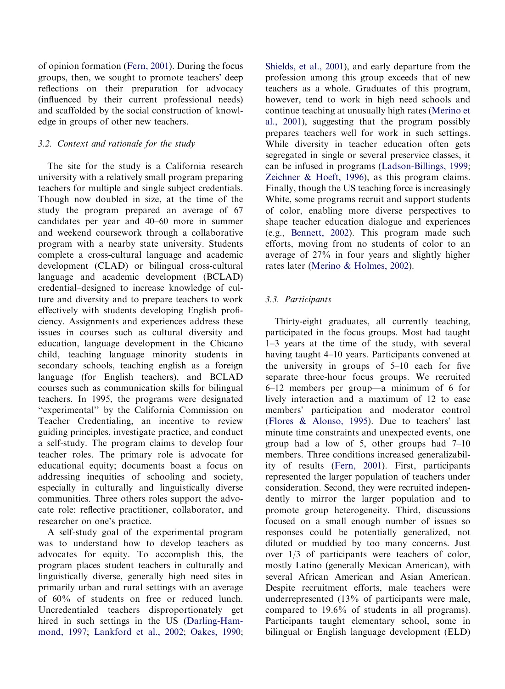of opinion formation ([Fern,](#page-17-0) 2001). During the focus groups, then, we sought to promote teachers' deep reflections on their preparation for advocacy (influenced by their current professional needs) and scaffolded by the social construction of knowledge in groups of other new teachers.

#### 3.2. Context and rationale for the study

The site for the study is a California research university with a relatively small program preparing teachers for multiple and single subject credentials. Though now doubled in size, at the time of the study the program prepared an average of 67 candidates per year and 40–60 more in summer and weekend coursework through a collaborative program with a nearby state university. Students complete a cross-cultural language and academic development (CLAD) or bilingual cross-cultural language and academic development (BCLAD) credential–designed to increase knowledge of culture and diversity and to prepare teachers to work effectively with students developing English proficiency. Assignments and experiences address these issues in courses such as cultural diversity and education, language development in the Chicano child, teaching language minority students in secondary schools, teaching english as a foreign language (for English teachers), and BCLAD courses such as communication skills for bilingual teachers. In 1995, the programs were designated ''experimental'' by the California Commission on Teacher Credentialing, an incentive to review guiding principles, investigate practice, and conduct a self-study. The program claims to develop four teacher roles. The primary role is advocate for educational equity; documents boast a focus on addressing inequities of schooling and society, especially in culturally and linguistically diverse communities. Three others roles support the advocate role: reflective practitioner, collaborator, and researcher on one's practice.

A self-study goal of the experimental program was to understand how to develop teachers as advocates for equity. To accomplish this, the program places student teachers in culturally and linguistically diverse, generally high need sites in primarily urban and rural settings with an average of 60% of students on free or reduced lunch. Uncredentialed teachers disproportionately get hired in such settings in the US [\(Darling-Ham](#page-17-0)[mond,](#page-17-0) 1997; [Lankford](#page-18-0) et al., 2002; [Oakes,](#page-18-0) 1990; [Shields,](#page-18-0) et al., 2001), and early departure from the profession among this group exceeds that of new teachers as a whole. Graduates of this program, however, tend to work in high need schools and continue teaching at unusually high rates [\(Merino](#page-18-0) et al., [2001](#page-18-0)), suggesting that the program possibly prepares teachers well for work in such settings. While diversity in teacher education often gets segregated in single or several preservice classes, it can be infused in programs [\(Ladson-Billings,](#page-18-0) 1999; [Zeichner](#page-19-0) & [Hoeft,](#page-19-0) 1996), as this program claims. Finally, though the US teaching force is increasingly White, some programs recruit and support students of color, enabling more diverse perspectives to shape teacher education dialogue and experiences (e.g., [Bennett,](#page-16-0) 2002). This program made such efforts, moving from no students of color to an average of 27% in four years and slightly higher rates later ([Merino](#page-18-0) & [Holmes,](#page-18-0) 2002).

#### 3.3. Participants

Thirty-eight graduates, all currently teaching, participated in the focus groups. Most had taught 1–3 years at the time of the study, with several having taught 4–10 years. Participants convened at the university in groups of 5–10 each for five separate three-hour focus groups. We recruited 6–12 members per group—a minimum of 6 for lively interaction and a maximum of 12 to ease members' participation and moderator control ([Flores](#page-17-0) & [Alonso,](#page-17-0) 1995). Due to teachers' last minute time constraints and unexpected events, one group had a low of 5, other groups had 7–10 members. Three conditions increased generalizability of results ([Fern,](#page-17-0) 2001). First, participants represented the larger population of teachers under consideration. Second, they were recruited independently to mirror the larger population and to promote group heterogeneity. Third, discussions focused on a small enough number of issues so responses could be potentially generalized, not diluted or muddied by too many concerns. Just over 1/3 of participants were teachers of color, mostly Latino (generally Mexican American), with several African American and Asian American. Despite recruitment efforts, male teachers were underrepresented (13% of participants were male, compared to 19.6% of students in all programs). Participants taught elementary school, some in bilingual or English language development (ELD)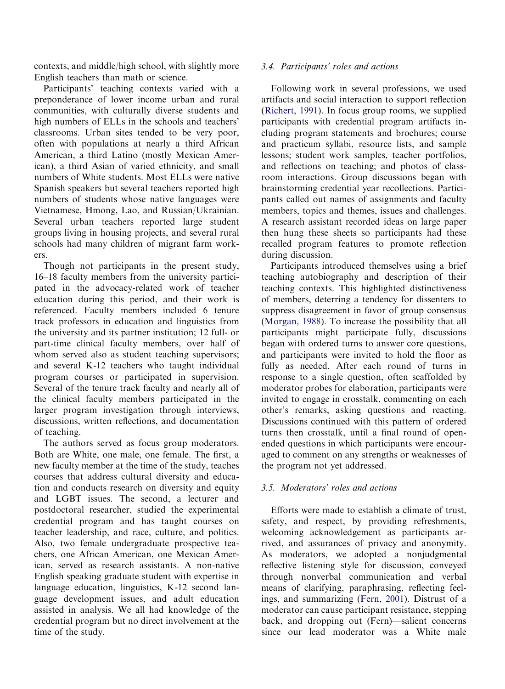contexts, and middle/high school, with slightly more English teachers than math or science.

Participants' teaching contexts varied with a preponderance of lower income urban and rural communities, with culturally diverse students and high numbers of ELLs in the schools and teachers' classrooms. Urban sites tended to be very poor, often with populations at nearly a third African American, a third Latino (mostly Mexican American), a third Asian of varied ethnicity, and small numbers of White students. Most ELLs were native Spanish speakers but several teachers reported high numbers of students whose native languages were Vietnamese, Hmong, Lao, and Russian/Ukrainian. Several urban teachers reported large student groups living in housing projects, and several rural schools had many children of migrant farm workers.

Though not participants in the present study, 16–18 faculty members from the university participated in the advocacy-related work of teacher education during this period, and their work is referenced. Faculty members included 6 tenure track professors in education and linguistics from the university and its partner institution; 12 full- or part-time clinical faculty members, over half of whom served also as student teaching supervisors; and several K-12 teachers who taught individual program courses or participated in supervision. Several of the tenure track faculty and nearly all of the clinical faculty members participated in the larger program investigation through interviews, discussions, written reflections, and documentation of teaching.

The authors served as focus group moderators. Both are White, one male, one female. The first, a new faculty member at the time of the study, teaches courses that address cultural diversity and education and conducts research on diversity and equity and LGBT issues. The second, a lecturer and postdoctoral researcher, studied the experimental credential program and has taught courses on teacher leadership, and race, culture, and politics. Also, two female undergraduate prospective teachers, one African American, one Mexican American, served as research assistants. A non-native English speaking graduate student with expertise in language education, linguistics, K-12 second language development issues, and adult education assisted in analysis. We all had knowledge of the credential program but no direct involvement at the time of the study.

#### 3.4. Participants' roles and actions

Following work in several professions, we used artifacts and social interaction to support reflection [\(Richert,](#page-18-0) 1991). In focus group rooms, we supplied participants with credential program artifacts including program statements and brochures; course and practicum syllabi, resource lists, and sample lessons; student work samples, teacher portfolios, and reflections on teaching; and photos of classroom interactions. Group discussions began with brainstorming credential year recollections. Participants called out names of assignments and faculty members, topics and themes, issues and challenges. A research assistant recorded ideas on large paper then hung these sheets so participants had these recalled program features to promote reflection during discussion.

Participants introduced themselves using a brief teaching autobiography and description of their teaching contexts. This highlighted distinctiveness of members, deterring a tendency for dissenters to suppress disagreement in favor of group consensus [\(Morgan,](#page-18-0) 1988). To increase the possibility that all participants might participate fully, discussions began with ordered turns to answer core questions, and participants were invited to hold the floor as fully as needed. After each round of turns in response to a single question, often scaffolded by moderator probes for elaboration, participants were invited to engage in crosstalk, commenting on each other's remarks, asking questions and reacting. Discussions continued with this pattern of ordered turns then crosstalk, until a final round of openended questions in which participants were encouraged to comment on any strengths or weaknesses of the program not yet addressed.

#### 3.5. Moderators' roles and actions

Efforts were made to establish a climate of trust, safety, and respect, by providing refreshments, welcoming acknowledgement as participants arrived, and assurances of privacy and anonymity. As moderators, we adopted a nonjudgmental reflective listening style for discussion, conveyed through nonverbal communication and verbal means of clarifying, paraphrasing, reflecting feelings, and summarizing ([Fern,](#page-17-0) 2001). Distrust of a moderator can cause participant resistance, stepping back, and dropping out (Fern)—salient concerns since our lead moderator was a White male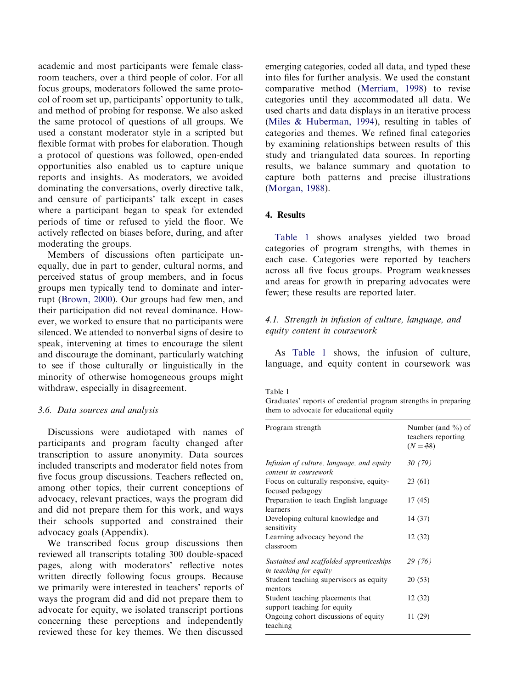<span id="page-5-0"></span>academic and most participants were female classroom teachers, over a third people of color. For all focus groups, moderators followed the same protocol of room set up, participants' opportunity to talk, and method of probing for response. We also asked the same protocol of questions of all groups. We used a constant moderator style in a scripted but flexible format with probes for elaboration. Though a protocol of questions was followed, open-ended opportunities also enabled us to capture unique reports and insights. As moderators, we avoided dominating the conversations, overly directive talk, and censure of participants' talk except in cases where a participant began to speak for extended periods of time or refused to yield the floor. We actively reflected on biases before, during, and after moderating the groups.

Members of discussions often participate unequally, due in part to gender, cultural norms, and perceived status of group members, and in focus groups men typically tend to dominate and interrupt [\(Brown,](#page-17-0) 2000). Our groups had few men, and their participation did not reveal dominance. However, we worked to ensure that no participants were silenced. We attended to nonverbal signs of desire to speak, intervening at times to encourage the silent and discourage the dominant, particularly watching to see if those culturally or linguistically in the minority of otherwise homogeneous groups might withdraw, especially in disagreement.

#### 3.6. Data sources and analysis

Discussions were audiotaped with names of participants and program faculty changed after transcription to assure anonymity. Data sources included transcripts and moderator field notes from five focus group discussions. Teachers reflected on, among other topics, their current conceptions of advocacy, relevant practices, ways the program did and did not prepare them for this work, and ways their schools supported and constrained their advocacy goals (Appendix).

We transcribed focus group discussions then reviewed all transcripts totaling 300 double-spaced pages, along with moderators' reflective notes written directly following focus groups. Because we primarily were interested in teachers' reports of ways the program did and did not prepare them to advocate for equity, we isolated transcript portions concerning these perceptions and independently reviewed these for key themes. We then discussed

emerging categories, coded all data, and typed these into files for further analysis. We used the constant comparative method [\(Merriam,](#page-18-0) 1998) to revise categories until they accommodated all data. We used charts and data displays in an iterative process ([Miles](#page-18-0) & [Huberman,](#page-18-0) 1994), resulting in tables of categories and themes. We refined final categories by examining relationships between results of this study and triangulated data sources. In reporting results, we balance summary and quotation to capture both patterns and precise illustrations ([Morgan,](#page-18-0) 1988).

#### 4. Results

Table 1 shows analyses yielded two broad categories of program strengths, with themes in each case. Categories were reported by teachers across all five focus groups. Program weaknesses and areas for growth in preparing advocates were fewer; these results are reported later.

#### 4.1. Strength in infusion of culture, language, and equity content in coursework

As Table 1 shows, the infusion of culture, language, and equity content in coursework was

#### Table 1

Graduates' reports of credential program strengths in preparing them to advocate for educational equity

| Program strength                                                   | Number (and $\%$ ) of<br>teachers reporting<br>$(N = 38)$ |
|--------------------------------------------------------------------|-----------------------------------------------------------|
| Infusion of culture, language, and equity<br>content in coursework | 30(79)                                                    |
| Focus on culturally responsive, equity-<br>focused pedagogy        | 23(61)                                                    |
| Preparation to teach English language<br>learners                  | 17(45)                                                    |
| Developing cultural knowledge and<br>sensitivity                   | 14 (37)                                                   |
| Learning advocacy beyond the<br>classroom                          | 12(32)                                                    |
| Sustained and scaffolded apprenticeships<br>in teaching for equity | 29 (76)                                                   |
| Student teaching supervisors as equity<br>mentors                  | 20(53)                                                    |
| Student teaching placements that<br>support teaching for equity    | 12(32)                                                    |
| Ongoing cohort discussions of equity<br>teaching                   | 11 (29)                                                   |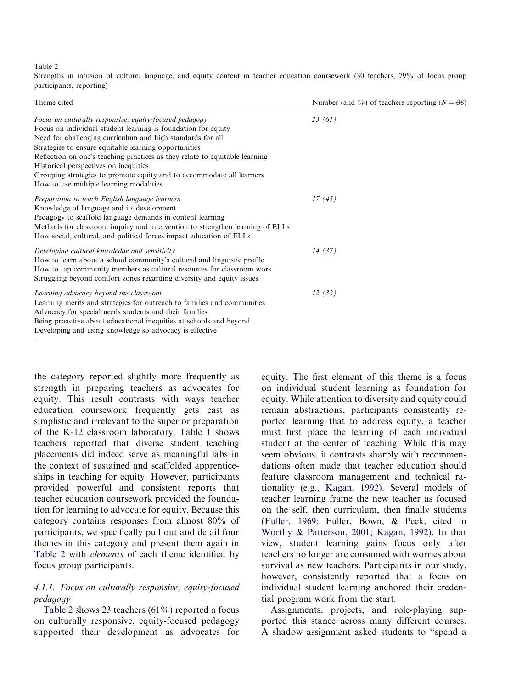<span id="page-6-0"></span>Table 2

Strengths in infusion of culture, language, and equity content in teacher education coursework (30 teachers, 79% of focus group participants, reporting)

| Theme cited                                                                                                                                                                                                                                                                                                                                                                                                                                                                                 | Number (and %) of teachers reporting $(N = 38)$ |
|---------------------------------------------------------------------------------------------------------------------------------------------------------------------------------------------------------------------------------------------------------------------------------------------------------------------------------------------------------------------------------------------------------------------------------------------------------------------------------------------|-------------------------------------------------|
| Focus on culturally responsive, equity-focused pedagogy<br>Focus on individual student learning is foundation for equity<br>Need for challenging curriculum and high standards for all<br>Strategies to ensure equitable learning opportunities<br>Reflection on one's teaching practices as they relate to equitable learning<br>Historical perspectives on inequities<br>Grouping strategies to promote equity and to accommodate all learners<br>How to use multiple learning modalities | 23(61)                                          |
| Preparation to teach English language learners<br>Knowledge of language and its development<br>Pedagogy to scaffold language demands in content learning<br>Methods for classroom inquiry and intervention to strengthen learning of ELLs<br>How social, cultural, and political forces impact education of ELLs                                                                                                                                                                            | 17(45)                                          |
| Developing cultural knowledge and sensitivity<br>How to learn about a school community's cultural and linguistic profile<br>How to tap community members as cultural resources for classroom work<br>Struggling beyond comfort zones regarding diversity and equity issues                                                                                                                                                                                                                  | 14(37)                                          |
| Learning advocacy beyond the classroom<br>Learning merits and strategies for outreach to families and communities<br>Advocacy for special needs students and their families<br>Being proactive about educational inequities at schools and beyond<br>Developing and using knowledge so advocacy is effective                                                                                                                                                                                | 12(32)                                          |

the category reported slightly more frequently as strength in preparing teachers as advocates for equity. This result contrasts with ways teacher education coursework frequently gets cast as simplistic and irrelevant to the superior preparation of the K-12 classroom laboratory. [Table](#page-5-0) 1 shows teachers reported that diverse student teaching placements did indeed serve as meaningful labs in the context of sustained and scaffolded apprenticeships in teaching for equity. However, participants provided powerful and consistent reports that teacher education coursework provided the foundation for learning to advocate for equity. Because this category contains responses from almost 80% of participants, we specifically pull out and detail four themes in this category and present them again in Table 2 with elements of each theme identified by focus group participants.

#### 4.1.1. Focus on culturally responsive, equity-focused pedagogy

Table 2 shows 23 teachers (61%) reported a focus on culturally responsive, equity-focused pedagogy supported their development as advocates for equity. The first element of this theme is a focus on individual student learning as foundation for equity. While attention to diversity and equity could remain abstractions, participants consistently reported learning that to address equity, a teacher must first place the learning of each individual student at the center of teaching. While this may seem obvious, it contrasts sharply with recommendations often made that teacher education should feature classroom management and technical rationality (e.g., [Kagan,](#page-17-0) 1992). Several models of teacher learning frame the new teacher as focused on the self, then curriculum, then finally students [\(Fuller,](#page-17-0) 1969; Fuller, Bown, & Peck, cited in [Worthy](#page-19-0) & [Patterson,](#page-19-0) 2001; [Kagan,](#page-17-0) 1992). In that view, student learning gains focus only after teachers no longer are consumed with worries about survival as new teachers. Participants in our study, however, consistently reported that a focus on individual student learning anchored their credential program work from the start.

Assignments, projects, and role-playing supported this stance across many different courses. A shadow assignment asked students to ''spend a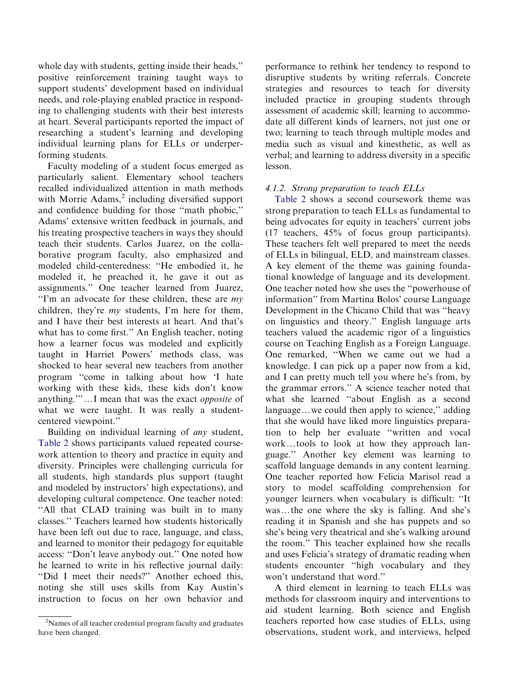whole day with students, getting inside their heads,'' positive reinforcement training taught ways to support students' development based on individual needs, and role-playing enabled practice in responding to challenging students with their best interests at heart. Several participants reported the impact of researching a student's learning and developing individual learning plans for ELLs or underperforming students.

Faculty modeling of a student focus emerged as particularly salient. Elementary school teachers recalled individualized attention in math methods with Morrie Adams, $2$  including diversified support and confidence building for those ''math phobic,'' Adams' extensive written feedback in journals, and his treating prospective teachers in ways they should teach their students. Carlos Juarez, on the collaborative program faculty, also emphasized and modeled child-centeredness: ''He embodied it, he modeled it, he preached it, he gave it out as assignments.'' One teacher learned from Juarez, "I'm an advocate for these children, these are  $my$ children, they're  $my$  students, I'm here for them, and I have their best interests at heart. And that's what has to come first.'' An English teacher, noting how a learner focus was modeled and explicitly taught in Harriet Powers' methods class, was shocked to hear several new teachers from another program ''come in talking about how 'I hate working with these kids, these kids don't know anything.""...I mean that was the exact opposite of what we were taught. It was really a studentcentered viewpoint.''

Building on individual learning of any student, [Table](#page-6-0) 2 shows participants valued repeated coursework attention to theory and practice in equity and diversity. Principles were challenging curricula for all students, high standards plus support (taught and modeled by instructors' high expectations), and developing cultural competence. One teacher noted: ''All that CLAD training was built in to many classes.'' Teachers learned how students historically have been left out due to race, language, and class, and learned to monitor their pedagogy for equitable access: ''Don't leave anybody out.'' One noted how he learned to write in his reflective journal daily: ''Did I meet their needs?'' Another echoed this, noting she still uses skills from Kay Austin's instruction to focus on her own behavior and

performance to rethink her tendency to respond to disruptive students by writing referrals. Concrete strategies and resources to teach for diversity included practice in grouping students through assessment of academic skill; learning to accommodate all different kinds of learners, not just one or two; learning to teach through multiple modes and media such as visual and kinesthetic, as well as verbal; and learning to address diversity in a specific lesson.

#### 4.1.2. Strong preparation to teach ELLs

[Table](#page-6-0) 2 shows a second coursework theme was strong preparation to teach ELLs as fundamental to being advocates for equity in teachers' current jobs (17 teachers, 45% of focus group participants). These teachers felt well prepared to meet the needs of ELLs in bilingual, ELD, and mainstream classes. A key element of the theme was gaining foundational knowledge of language and its development. One teacher noted how she uses the ''powerhouse of information'' from Martina Bolos' course Language Development in the Chicano Child that was ''heavy on linguistics and theory.'' English language arts teachers valued the academic rigor of a linguistics course on Teaching English as a Foreign Language. One remarked, ''When we came out we had a knowledge. I can pick up a paper now from a kid, and I can pretty much tell you where he's from, by the grammar errors.'' A science teacher noted that what she learned ''about English as a second language...we could then apply to science," adding that she would have liked more linguistics preparation to help her evaluate ''written and vocal work...tools to look at how they approach language.'' Another key element was learning to scaffold language demands in any content learning. One teacher reported how Felicia Marisol read a story to model scaffolding comprehension for younger learners when vocabulary is difficult: ''It was...the one where the sky is falling. And she's reading it in Spanish and she has puppets and so she's being very theatrical and she's walking around the room.'' This teacher explained how she recalls and uses Felicia's strategy of dramatic reading when students encounter ''high vocabulary and they won't understand that word.''

A third element in learning to teach ELLs was methods for classroom inquiry and interventions to aid student learning. Both science and English teachers reported how case studies of ELLs, using observations, student work, and interviews, helped

<sup>&</sup>lt;sup>2</sup>Names of all teacher credential program faculty and graduates have been changed.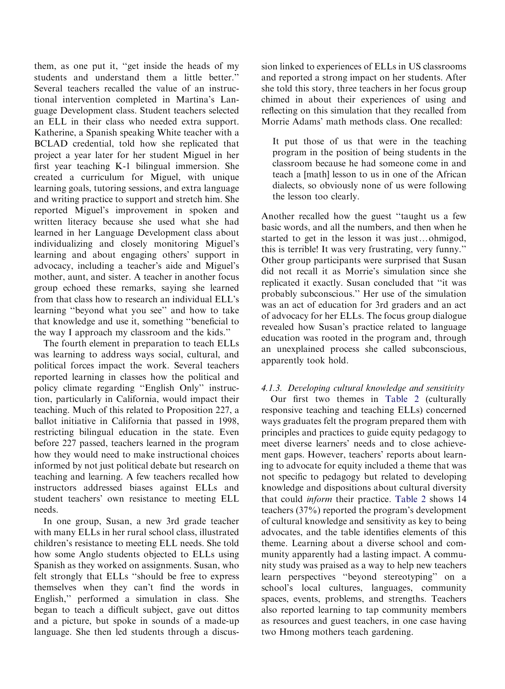them, as one put it, ''get inside the heads of my students and understand them a little better.'' Several teachers recalled the value of an instructional intervention completed in Martina's Language Development class. Student teachers selected an ELL in their class who needed extra support. Katherine, a Spanish speaking White teacher with a BCLAD credential, told how she replicated that project a year later for her student Miguel in her first year teaching K-1 bilingual immersion. She created a curriculum for Miguel, with unique learning goals, tutoring sessions, and extra language and writing practice to support and stretch him. She reported Miguel's improvement in spoken and written literacy because she used what she had learned in her Language Development class about individualizing and closely monitoring Miguel's learning and about engaging others' support in advocacy, including a teacher's aide and Miguel's mother, aunt, and sister. A teacher in another focus group echoed these remarks, saying she learned from that class how to research an individual ELL's learning ''beyond what you see'' and how to take that knowledge and use it, something ''beneficial to the way I approach my classroom and the kids.''

The fourth element in preparation to teach ELLs was learning to address ways social, cultural, and political forces impact the work. Several teachers reported learning in classes how the political and policy climate regarding ''English Only'' instruction, particularly in California, would impact their teaching. Much of this related to Proposition 227, a ballot initiative in California that passed in 1998, restricting bilingual education in the state. Even before 227 passed, teachers learned in the program how they would need to make instructional choices informed by not just political debate but research on teaching and learning. A few teachers recalled how instructors addressed biases against ELLs and student teachers' own resistance to meeting ELL needs.

In one group, Susan, a new 3rd grade teacher with many ELLs in her rural school class, illustrated children's resistance to meeting ELL needs. She told how some Anglo students objected to ELLs using Spanish as they worked on assignments. Susan, who felt strongly that ELLs ''should be free to express themselves when they can't find the words in English,'' performed a simulation in class. She began to teach a difficult subject, gave out dittos and a picture, but spoke in sounds of a made-up language. She then led students through a discus-

sion linked to experiences of ELLs in US classrooms and reported a strong impact on her students. After she told this story, three teachers in her focus group chimed in about their experiences of using and reflecting on this simulation that they recalled from Morrie Adams' math methods class. One recalled:

It put those of us that were in the teaching program in the position of being students in the classroom because he had someone come in and teach a [math] lesson to us in one of the African dialects, so obviously none of us were following the lesson too clearly.

Another recalled how the guest ''taught us a few basic words, and all the numbers, and then when he started to get in the lesson it was just...ohmigod, this is terrible! It was very frustrating, very funny.'' Other group participants were surprised that Susan did not recall it as Morrie's simulation since she replicated it exactly. Susan concluded that ''it was probably subconscious.'' Her use of the simulation was an act of education for 3rd graders and an act of advocacy for her ELLs. The focus group dialogue revealed how Susan's practice related to language education was rooted in the program and, through an unexplained process she called subconscious, apparently took hold.

#### 4.1.3. Developing cultural knowledge and sensitivity

Our first two themes in [Table](#page-6-0) 2 (culturally responsive teaching and teaching ELLs) concerned ways graduates felt the program prepared them with principles and practices to guide equity pedagogy to meet diverse learners' needs and to close achievement gaps. However, teachers' reports about learning to advocate for equity included a theme that was not specific to pedagogy but related to developing knowledge and dispositions about cultural diversity that could inform their practice. [Table](#page-6-0) 2 shows 14 teachers (37%) reported the program's development of cultural knowledge and sensitivity as key to being advocates, and the table identifies elements of this theme. Learning about a diverse school and community apparently had a lasting impact. A community study was praised as a way to help new teachers learn perspectives ''beyond stereotyping'' on a school's local cultures, languages, community spaces, events, problems, and strengths. Teachers also reported learning to tap community members as resources and guest teachers, in one case having two Hmong mothers teach gardening.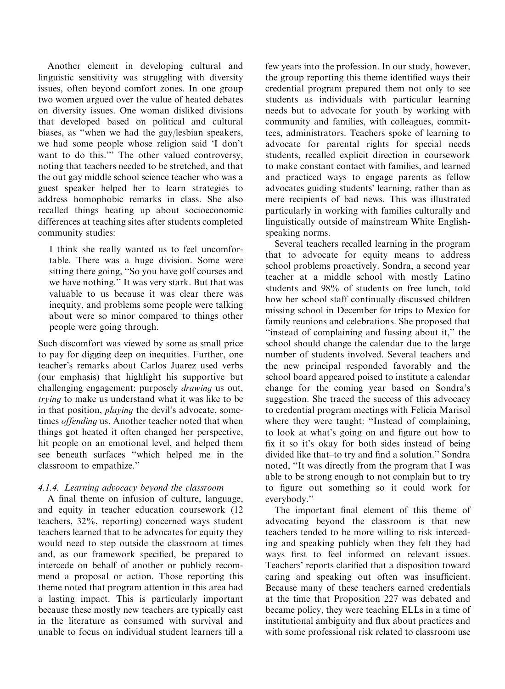Another element in developing cultural and linguistic sensitivity was struggling with diversity issues, often beyond comfort zones. In one group two women argued over the value of heated debates on diversity issues. One woman disliked divisions that developed based on political and cultural biases, as ''when we had the gay/lesbian speakers, we had some people whose religion said 'I don't want to do this."<sup>5</sup> The other valued controversy, noting that teachers needed to be stretched, and that the out gay middle school science teacher who was a guest speaker helped her to learn strategies to address homophobic remarks in class. She also recalled things heating up about socioeconomic differences at teaching sites after students completed community studies:

I think she really wanted us to feel uncomfortable. There was a huge division. Some were sitting there going, ''So you have golf courses and we have nothing.'' It was very stark. But that was valuable to us because it was clear there was inequity, and problems some people were talking about were so minor compared to things other people were going through.

Such discomfort was viewed by some as small price to pay for digging deep on inequities. Further, one teacher's remarks about Carlos Juarez used verbs (our emphasis) that highlight his supportive but challenging engagement: purposely drawing us out, trying to make us understand what it was like to be in that position, playing the devil's advocate, sometimes offending us. Another teacher noted that when things got heated it often changed her perspective, hit people on an emotional level, and helped them see beneath surfaces ''which helped me in the classroom to empathize.''

### 4.1.4. Learning advocacy beyond the classroom

A final theme on infusion of culture, language, and equity in teacher education coursework (12 teachers, 32%, reporting) concerned ways student teachers learned that to be advocates for equity they would need to step outside the classroom at times and, as our framework specified, be prepared to intercede on behalf of another or publicly recommend a proposal or action. Those reporting this theme noted that program attention in this area had a lasting impact. This is particularly important because these mostly new teachers are typically cast in the literature as consumed with survival and unable to focus on individual student learners till a

few years into the profession. In our study, however, the group reporting this theme identified ways their credential program prepared them not only to see students as individuals with particular learning needs but to advocate for youth by working with community and families, with colleagues, committees, administrators. Teachers spoke of learning to advocate for parental rights for special needs students, recalled explicit direction in coursework to make constant contact with families, and learned and practiced ways to engage parents as fellow advocates guiding students' learning, rather than as mere recipients of bad news. This was illustrated particularly in working with families culturally and linguistically outside of mainstream White Englishspeaking norms.

Several teachers recalled learning in the program that to advocate for equity means to address school problems proactively. Sondra, a second year teacher at a middle school with mostly Latino students and 98% of students on free lunch, told how her school staff continually discussed children missing school in December for trips to Mexico for family reunions and celebrations. She proposed that ''instead of complaining and fussing about it,'' the school should change the calendar due to the large number of students involved. Several teachers and the new principal responded favorably and the school board appeared poised to institute a calendar change for the coming year based on Sondra's suggestion. She traced the success of this advocacy to credential program meetings with Felicia Marisol where they were taught: "Instead of complaining, to look at what's going on and figure out how to fix it so it's okay for both sides instead of being divided like that–to try and find a solution.'' Sondra noted, ''It was directly from the program that I was able to be strong enough to not complain but to try to figure out something so it could work for everybody.''

The important final element of this theme of advocating beyond the classroom is that new teachers tended to be more willing to risk interceding and speaking publicly when they felt they had ways first to feel informed on relevant issues. Teachers' reports clarified that a disposition toward caring and speaking out often was insufficient. Because many of these teachers earned credentials at the time that Proposition 227 was debated and became policy, they were teaching ELLs in a time of institutional ambiguity and flux about practices and with some professional risk related to classroom use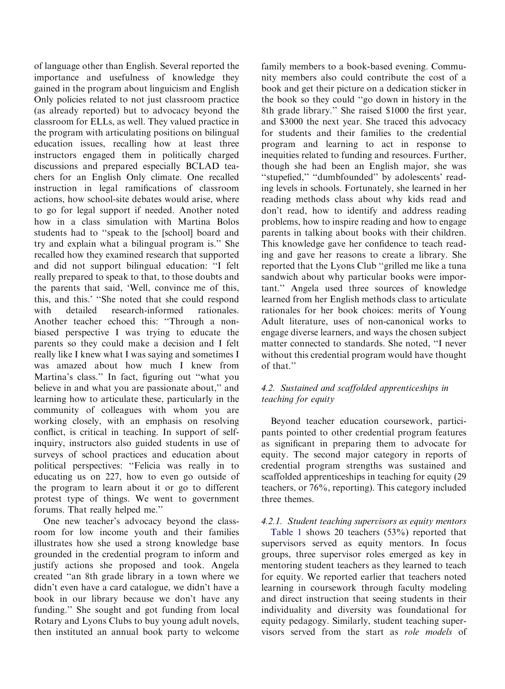of language other than English. Several reported the importance and usefulness of knowledge they gained in the program about linguicism and English Only policies related to not just classroom practice (as already reported) but to advocacy beyond the classroom for ELLs, as well. They valued practice in the program with articulating positions on bilingual education issues, recalling how at least three instructors engaged them in politically charged discussions and prepared especially BCLAD teachers for an English Only climate. One recalled instruction in legal ramifications of classroom actions, how school-site debates would arise, where to go for legal support if needed. Another noted how in a class simulation with Martina Bolos students had to ''speak to the [school] board and try and explain what a bilingual program is.'' She recalled how they examined research that supported and did not support bilingual education: ''I felt really prepared to speak to that, to those doubts and the parents that said, 'Well, convince me of this, this, and this.' ''She noted that she could respond with detailed research-informed rationales. Another teacher echoed this: ''Through a nonbiased perspective I was trying to educate the parents so they could make a decision and I felt really like I knew what I was saying and sometimes I was amazed about how much I knew from Martina's class.'' In fact, figuring out ''what you believe in and what you are passionate about,'' and learning how to articulate these, particularly in the community of colleagues with whom you are working closely, with an emphasis on resolving conflict, is critical in teaching. In support of selfinquiry, instructors also guided students in use of surveys of school practices and education about political perspectives: ''Felicia was really in to educating us on 227, how to even go outside of the program to learn about it or go to different protest type of things. We went to government forums. That really helped me.''

One new teacher's advocacy beyond the classroom for low income youth and their families illustrates how she used a strong knowledge base grounded in the credential program to inform and justify actions she proposed and took. Angela created ''an 8th grade library in a town where we didn't even have a card catalogue, we didn't have a book in our library because we don't have any funding.'' She sought and got funding from local Rotary and Lyons Clubs to buy young adult novels, then instituted an annual book party to welcome

family members to a book-based evening. Community members also could contribute the cost of a book and get their picture on a dedication sticker in the book so they could ''go down in history in the 8th grade library.'' She raised \$1000 the first year, and \$3000 the next year. She traced this advocacy for students and their families to the credential program and learning to act in response to inequities related to funding and resources. Further, though she had been an English major, she was "stupefied," "dumbfounded" by adolescents' reading levels in schools. Fortunately, she learned in her reading methods class about why kids read and don't read, how to identify and address reading problems, how to inspire reading and how to engage parents in talking about books with their children. This knowledge gave her confidence to teach reading and gave her reasons to create a library. She reported that the Lyons Club ''grilled me like a tuna sandwich about why particular books were important.'' Angela used three sources of knowledge learned from her English methods class to articulate rationales for her book choices: merits of Young Adult literature, uses of non-canonical works to engage diverse learners, and ways the chosen subject matter connected to standards. She noted, ''I never without this credential program would have thought of that.''

### 4.2. Sustained and scaffolded apprenticeships in teaching for equity

Beyond teacher education coursework, participants pointed to other credential program features as significant in preparing them to advocate for equity. The second major category in reports of credential program strengths was sustained and scaffolded apprenticeships in teaching for equity (29 teachers, or 76%, reporting). This category included three themes.

### 4.2.1. Student teaching supervisors as equity mentors

[Table](#page-5-0) 1 shows 20 teachers (53%) reported that supervisors served as equity mentors. In focus groups, three supervisor roles emerged as key in mentoring student teachers as they learned to teach for equity. We reported earlier that teachers noted learning in coursework through faculty modeling and direct instruction that seeing students in their individuality and diversity was foundational for equity pedagogy. Similarly, student teaching supervisors served from the start as role models of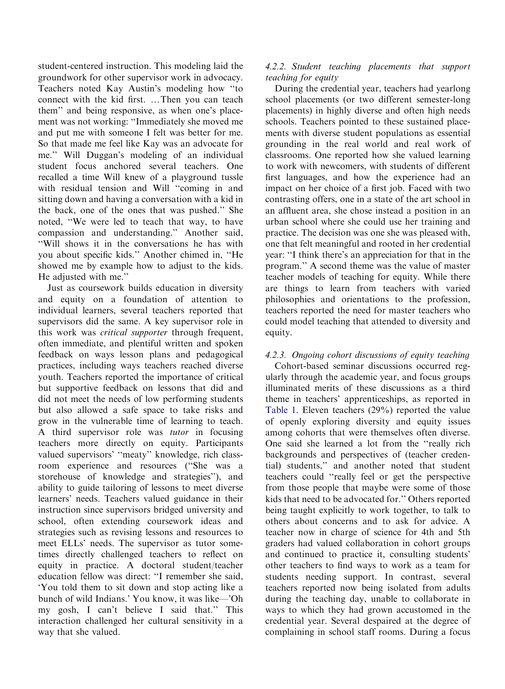student-centered instruction. This modeling laid the groundwork for other supervisor work in advocacy. Teachers noted Kay Austin's modeling how ''to connect with the kid first. ... Then you can teach them'' and being responsive, as when one's placement was not working: ''Immediately she moved me and put me with someone I felt was better for me. So that made me feel like Kay was an advocate for me.'' Will Duggan's modeling of an individual student focus anchored several teachers. One recalled a time Will knew of a playground tussle with residual tension and Will ''coming in and sitting down and having a conversation with a kid in the back, one of the ones that was pushed.'' She noted, ''We were led to teach that way, to have compassion and understanding.'' Another said, ''Will shows it in the conversations he has with you about specific kids.'' Another chimed in, ''He showed me by example how to adjust to the kids. He adjusted with me.''

Just as coursework builds education in diversity and equity on a foundation of attention to individual learners, several teachers reported that supervisors did the same. A key supervisor role in this work was critical supporter through frequent, often immediate, and plentiful written and spoken feedback on ways lesson plans and pedagogical practices, including ways teachers reached diverse youth. Teachers reported the importance of critical but supportive feedback on lessons that did and did not meet the needs of low performing students but also allowed a safe space to take risks and grow in the vulnerable time of learning to teach. A third supervisor role was tutor in focusing teachers more directly on equity. Participants valued supervisors' ''meaty'' knowledge, rich classroom experience and resources (''She was a storehouse of knowledge and strategies''), and ability to guide tailoring of lessons to meet diverse learners' needs. Teachers valued guidance in their instruction since supervisors bridged university and school, often extending coursework ideas and strategies such as revising lessons and resources to meet ELLs' needs. The supervisor as tutor sometimes directly challenged teachers to reflect on equity in practice. A doctoral student/teacher education fellow was direct: ''I remember she said, 'You told them to sit down and stop acting like a bunch of wild Indians.' You know, it was like—'Oh my gosh, I can't believe I said that.'' This interaction challenged her cultural sensitivity in a way that she valued.

#### 4.2.2. Student teaching placements that support teaching for equity

During the credential year, teachers had yearlong school placements (or two different semester-long placements) in highly diverse and often high needs schools. Teachers pointed to these sustained placements with diverse student populations as essential grounding in the real world and real work of classrooms. One reported how she valued learning to work with newcomers, with students of different first languages, and how the experience had an impact on her choice of a first job. Faced with two contrasting offers, one in a state of the art school in an affluent area, she chose instead a position in an urban school where she could use her training and practice. The decision was one she was pleased with, one that felt meaningful and rooted in her credential year: ''I think there's an appreciation for that in the program.'' A second theme was the value of master teacher models of teaching for equity. While there are things to learn from teachers with varied philosophies and orientations to the profession, teachers reported the need for master teachers who could model teaching that attended to diversity and equity.

### 4.2.3. Ongoing cohort discussions of equity teaching

Cohort-based seminar discussions occurred regularly through the academic year, and focus groups illuminated merits of these discussions as a third theme in teachers' apprenticeships, as reported in [Table](#page-5-0) 1. Eleven teachers (29%) reported the value of openly exploring diversity and equity issues among cohorts that were themselves often diverse. One said she learned a lot from the ''really rich backgrounds and perspectives of (teacher credential) students,'' and another noted that student teachers could ''really feel or get the perspective from those people that maybe were some of those kids that need to be advocated for.'' Others reported being taught explicitly to work together, to talk to others about concerns and to ask for advice. A teacher now in charge of science for 4th and 5th graders had valued collaboration in cohort groups and continued to practice it, consulting students' other teachers to find ways to work as a team for students needing support. In contrast, several teachers reported now being isolated from adults during the teaching day, unable to collaborate in ways to which they had grown accustomed in the credential year. Several despaired at the degree of complaining in school staff rooms. During a focus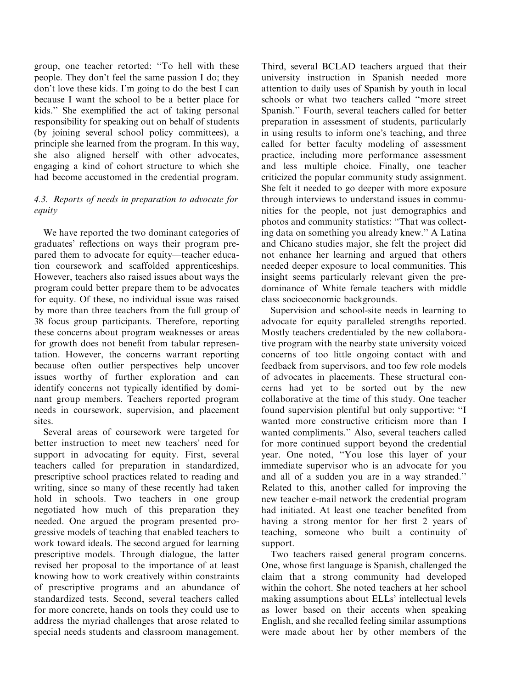group, one teacher retorted: ''To hell with these people. They don't feel the same passion I do; they don't love these kids. I'm going to do the best I can because I want the school to be a better place for kids.'' She exemplified the act of taking personal responsibility for speaking out on behalf of students (by joining several school policy committees), a principle she learned from the program. In this way, she also aligned herself with other advocates, engaging a kind of cohort structure to which she had become accustomed in the credential program.

#### 4.3. Reports of needs in preparation to advocate for equity

We have reported the two dominant categories of graduates' reflections on ways their program prepared them to advocate for equity—teacher education coursework and scaffolded apprenticeships. However, teachers also raised issues about ways the program could better prepare them to be advocates for equity. Of these, no individual issue was raised by more than three teachers from the full group of 38 focus group participants. Therefore, reporting these concerns about program weaknesses or areas for growth does not benefit from tabular representation. However, the concerns warrant reporting because often outlier perspectives help uncover issues worthy of further exploration and can identify concerns not typically identified by dominant group members. Teachers reported program needs in coursework, supervision, and placement sites.

Several areas of coursework were targeted for better instruction to meet new teachers' need for support in advocating for equity. First, several teachers called for preparation in standardized, prescriptive school practices related to reading and writing, since so many of these recently had taken hold in schools. Two teachers in one group negotiated how much of this preparation they needed. One argued the program presented progressive models of teaching that enabled teachers to work toward ideals. The second argued for learning prescriptive models. Through dialogue, the latter revised her proposal to the importance of at least knowing how to work creatively within constraints of prescriptive programs and an abundance of standardized tests. Second, several teachers called for more concrete, hands on tools they could use to address the myriad challenges that arose related to special needs students and classroom management.

Third, several BCLAD teachers argued that their university instruction in Spanish needed more attention to daily uses of Spanish by youth in local schools or what two teachers called ''more street Spanish.'' Fourth, several teachers called for better preparation in assessment of students, particularly in using results to inform one's teaching, and three called for better faculty modeling of assessment practice, including more performance assessment and less multiple choice. Finally, one teacher criticized the popular community study assignment. She felt it needed to go deeper with more exposure through interviews to understand issues in communities for the people, not just demographics and photos and community statistics: ''That was collecting data on something you already knew.'' A Latina and Chicano studies major, she felt the project did not enhance her learning and argued that others needed deeper exposure to local communities. This insight seems particularly relevant given the predominance of White female teachers with middle class socioeconomic backgrounds.

Supervision and school-site needs in learning to advocate for equity paralleled strengths reported. Mostly teachers credentialed by the new collaborative program with the nearby state university voiced concerns of too little ongoing contact with and feedback from supervisors, and too few role models of advocates in placements. These structural concerns had yet to be sorted out by the new collaborative at the time of this study. One teacher found supervision plentiful but only supportive: ''I wanted more constructive criticism more than I wanted compliments.'' Also, several teachers called for more continued support beyond the credential year. One noted, ''You lose this layer of your immediate supervisor who is an advocate for you and all of a sudden you are in a way stranded.'' Related to this, another called for improving the new teacher e-mail network the credential program had initiated. At least one teacher benefited from having a strong mentor for her first 2 years of teaching, someone who built a continuity of support.

Two teachers raised general program concerns. One, whose first language is Spanish, challenged the claim that a strong community had developed within the cohort. She noted teachers at her school making assumptions about ELLs' intellectual levels as lower based on their accents when speaking English, and she recalled feeling similar assumptions were made about her by other members of the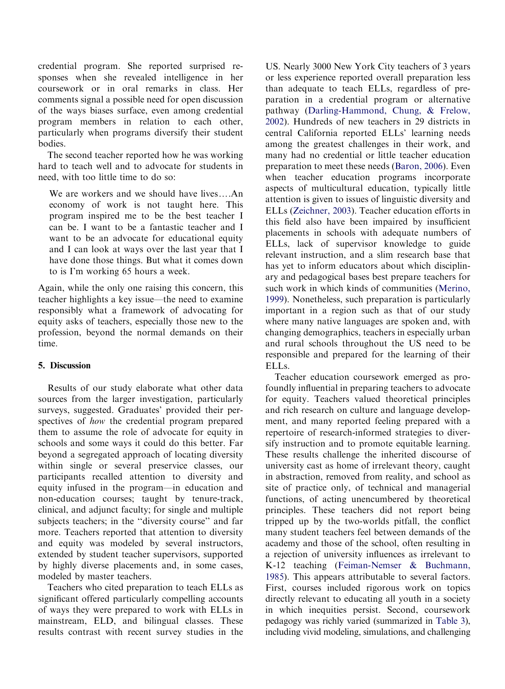credential program. She reported surprised responses when she revealed intelligence in her coursework or in oral remarks in class. Her comments signal a possible need for open discussion of the ways biases surface, even among credential program members in relation to each other, particularly when programs diversify their student bodies.

The second teacher reported how he was working hard to teach well and to advocate for students in need, with too little time to do so:

We are workers and we should have lives....An economy of work is not taught here. This program inspired me to be the best teacher I can be. I want to be a fantastic teacher and I want to be an advocate for educational equity and I can look at ways over the last year that I have done those things. But what it comes down to is I'm working 65 hours a week.

Again, while the only one raising this concern, this teacher highlights a key issue—the need to examine responsibly what a framework of advocating for equity asks of teachers, especially those new to the profession, beyond the normal demands on their time.

#### 5. Discussion

Results of our study elaborate what other data sources from the larger investigation, particularly surveys, suggested. Graduates' provided their perspectives of how the credential program prepared them to assume the role of advocate for equity in schools and some ways it could do this better. Far beyond a segregated approach of locating diversity within single or several preservice classes, our participants recalled attention to diversity and equity infused in the program—in education and non-education courses; taught by tenure-track, clinical, and adjunct faculty; for single and multiple subjects teachers; in the ''diversity course'' and far more. Teachers reported that attention to diversity and equity was modeled by several instructors, extended by student teacher supervisors, supported by highly diverse placements and, in some cases, modeled by master teachers.

Teachers who cited preparation to teach ELLs as significant offered particularly compelling accounts of ways they were prepared to work with ELLs in mainstream, ELD, and bilingual classes. These results contrast with recent survey studies in the

US. Nearly 3000 New York City teachers of 3 years or less experience reported overall preparation less than adequate to teach ELLs, regardless of preparation in a credential program or alternative pathway [\(Darling-Hammond,](#page-17-0) Chung, & [Frelow,](#page-17-0) [2002](#page-17-0)). Hundreds of new teachers in 29 districts in central California reported ELLs' learning needs among the greatest challenges in their work, and many had no credential or little teacher education preparation to meet these needs ([Baron,](#page-16-0) 2006). Even when teacher education programs incorporate aspects of multicultural education, typically little attention is given to issues of linguistic diversity and ELLs [\(Zeichner,](#page-19-0) 2003). Teacher education efforts in this field also have been impaired by insufficient placements in schools with adequate numbers of ELLs, lack of supervisor knowledge to guide relevant instruction, and a slim research base that has yet to inform educators about which disciplinary and pedagogical bases best prepare teachers for such work in which kinds of communities ([Merino,](#page-18-0) [1999](#page-18-0)). Nonetheless, such preparation is particularly important in a region such as that of our study where many native languages are spoken and, with changing demographics, teachers in especially urban and rural schools throughout the US need to be responsible and prepared for the learning of their ELLs.

Teacher education coursework emerged as profoundly influential in preparing teachers to advocate for equity. Teachers valued theoretical principles and rich research on culture and language development, and many reported feeling prepared with a repertoire of research-informed strategies to diversify instruction and to promote equitable learning. These results challenge the inherited discourse of university cast as home of irrelevant theory, caught in abstraction, removed from reality, and school as site of practice only, of technical and managerial functions, of acting unencumbered by theoretical principles. These teachers did not report being tripped up by the two-worlds pitfall, the conflict many student teachers feel between demands of the academy and those of the school, often resulting in a rejection of university influences as irrelevant to K-12 teaching [\(Feiman-Nemser](#page-17-0) & [Buchmann,](#page-17-0) [1985](#page-17-0)). This appears attributable to several factors. First, courses included rigorous work on topics directly relevant to educating all youth in a society in which inequities persist. Second, coursework pedagogy was richly varied (summarized in [Table](#page-14-0) 3), including vivid modeling, simulations, and challenging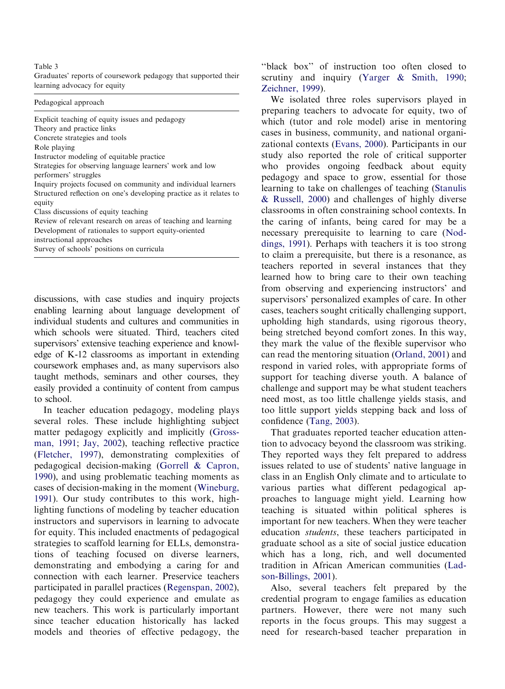# learning advocacy for equity [Zeichner,](#page-19-0) 1999).

Inquiry projects focused on community and individual learners instructional approaches

enabling learning about language development of cases, teachers sought critically challenging support, individual students and cultures and communities in upholding high standards, using rigorous theory, which schools were situated. Third, teachers cited being stretched beyond comfort zones. In this way, supervisors' extensive teaching experience and knowl they mark the value of the flexible supervisor who edge of K-12 classrooms as important in extending can read the mentoring situation ([Orland,](#page-18-0) 2001) and coursework emphases and, as many supervisors also respond in varied roles, with appropriate forms of taught methods, seminars and other courses, they support for teaching diverse youth. A balance of easily provided a continuity of content from campus challenge and support may be what student teachers to school. need most, as too little challenge yields stasis, and

several roles. These include highlighting subject confidence ([Tang,](#page-18-0) 2003). matter pedagogy explicitly and implicitly [\(Gross-](#page-17-0)<br>That graduates reported teacher education atten[man,](#page-17-0) 1991; Jay, [2002](#page-17-0)), teaching reflective practice tion to advocacy beyond the classroom was striking. [\(Fletcher,](#page-17-0) 1997), demonstrating complexities of They reported ways they felt prepared to address pedagogical decision-making [\(Gorrell](#page-17-0) & [Capron,](#page-17-0) issues related to use of students' native language in [1990\)](#page-17-0), and using problematic teaching moments as class in an English Only climate and to articulate to cases of decision-making in the moment ([Wineburg,](#page-18-0) various parties what different pedagogical ap-[1991\)](#page-18-0). Our study contributes to this work, high-proaches to language might yield. Learning how lighting functions of modeling by teacher education teaching is situated within political spheres is instructors and supervisors in learning to advocate important for new teachers. When they were teacher for equity. This included enactments of pedagogical education students, these teachers participated in strategies to scaffold learning for ELLs, demonstra graduate school as a site of social justice education tions of teaching focused on diverse learners, which has a long, rich, and well documented demonstrating and embodying a caring for and tradition in African American communities ([Lad](#page-18-0)connection with each learner. Preservice teachers [son-Billings,](#page-18-0) 2001). participated in parallel practices ([Regenspan,](#page-18-0) 2002), Also, several teachers felt prepared by the pedagogy they could experience and emulate as credential program to engage families as education new teachers. This work is particularly important partners. However, there were not many such since teacher education historically has lacked reports in the focus groups. This may suggest a models and theories of effective pedagogy, the need for research-based teacher preparation in

<span id="page-14-0"></span>Table 3<br>Graduates' reports of coursework pedagogy that supported their<br>critiny and inquiry (Yarger & Smith 1990) scrutiny and inquiry ([Yarger](#page-19-0) & [Smith,](#page-19-0) 1990;

Pedagogical approach We isolated three roles supervisors played in preparing teachers to advocate for equity, two of Explicit teaching of equity issues and pedagogy which (tutor and role model) arise in mentoring Theory and practice links Theory and practice links<br>
Concrete strategies and tools **cases** in business, community, and national organi-Role playing zational contexts [\(Evans,](#page-17-0) 2000). Participants in our Instructor modeling of equitable practice study also reported the role of critical supporter Strategies for observing language learners' work and low who provides ongoing feedback about equity performers' struggles pedagogy and space to grow, essential for those Inquiry projects focused on community and individual learners<br>Structured reflection on one's developing practice as it relates to equity  $\&$  [Russell,](#page-18-0) 2000) and challenges of highly diverse Class discussions of equity teaching<br>
Classrooms in often constraining school contexts. In<br>
Review of relevant research on areas of teaching and learning<br>
the caring of infants, being cared for may be a Review of relevant research on areas of teaching and learning the caring of infants, being cared for may be a<br>Development of rationales to support equity-oriented precessary preparaisite to learning to care (Nod-necessary prerequisite to learning to care ([Nod](#page-18-0)Survey of schools' positions on curricula [dings,](#page-18-0) 1991). Perhaps with teachers it is too strong Survey of schools' positions on curricula to claim a prerequisite, but there is a resonance, as teachers reported in several instances that they learned how to bring care to their own teaching from observing and experiencing instructors' and discussions, with case studies and inquiry projects supervisors' personalized examples of care. In other In teacher education pedagogy, modeling plays too little support yields stepping back and loss of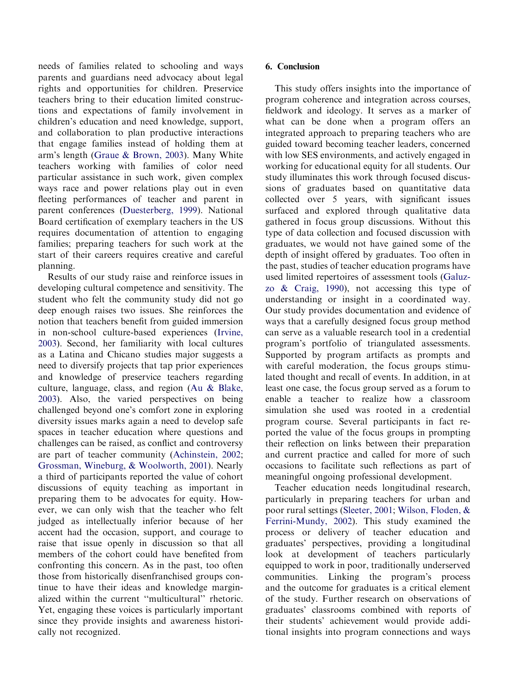needs of families related to schooling and ways parents and guardians need advocacy about legal rights and opportunities for children. Preservice teachers bring to their education limited constructions and expectations of family involvement in children's education and need knowledge, support, and collaboration to plan productive interactions that engage families instead of holding them at arm's length ([Graue](#page-17-0) & [Brown,](#page-17-0) 2003). Many White teachers working with families of color need particular assistance in such work, given complex ways race and power relations play out in even fleeting performances of teacher and parent in parent conferences [\(Duesterberg,](#page-17-0) 1999). National Board certification of exemplary teachers in the US requires documentation of attention to engaging families; preparing teachers for such work at the start of their careers requires creative and careful planning.

Results of our study raise and reinforce issues in developing cultural competence and sensitivity. The student who felt the community study did not go deep enough raises two issues. She reinforces the notion that teachers benefit from guided immersion in non-school culture-based experiences [\(Irvine,](#page-17-0) [2003](#page-17-0)). Second, her familiarity with local cultures as a Latina and Chicano studies major suggests a need to diversify projects that tap prior experiences and knowledge of preservice teachers regarding culture, language, class, and region ([Au](#page-16-0) & [Blake,](#page-16-0) [2003](#page-16-0)). Also, the varied perspectives on being challenged beyond one's comfort zone in exploring diversity issues marks again a need to develop safe spaces in teacher education where questions and challenges can be raised, as conflict and controversy are part of teacher community ([Achinstein,](#page-16-0) 2002; [Grossman,](#page-17-0) Wineburg, & [Woolworth,](#page-17-0) 2001). Nearly a third of participants reported the value of cohort discussions of equity teaching as important in preparing them to be advocates for equity. However, we can only wish that the teacher who felt judged as intellectually inferior because of her accent had the occasion, support, and courage to raise that issue openly in discussion so that all members of the cohort could have benefited from confronting this concern. As in the past, too often those from historically disenfranchised groups continue to have their ideas and knowledge marginalized within the current ''multicultural'' rhetoric. Yet, engaging these voices is particularly important since they provide insights and awareness historically not recognized.

#### 6. Conclusion

This study offers insights into the importance of program coherence and integration across courses, fieldwork and ideology. It serves as a marker of what can be done when a program offers an integrated approach to preparing teachers who are guided toward becoming teacher leaders, concerned with low SES environments, and actively engaged in working for educational equity for all students. Our study illuminates this work through focused discussions of graduates based on quantitative data collected over 5 years, with significant issues surfaced and explored through qualitative data gathered in focus group discussions. Without this type of data collection and focused discussion with graduates, we would not have gained some of the depth of insight offered by graduates. Too often in the past, studies of teacher education programs have used limited repertoires of assessment tools [\(Galuz](#page-17-0)[zo](#page-17-0) & [Craig,](#page-17-0) 1990), not accessing this type of understanding or insight in a coordinated way. Our study provides documentation and evidence of ways that a carefully designed focus group method can serve as a valuable research tool in a credential program's portfolio of triangulated assessments. Supported by program artifacts as prompts and with careful moderation, the focus groups stimulated thought and recall of events. In addition, in at least one case, the focus group served as a forum to enable a teacher to realize how a classroom simulation she used was rooted in a credential program course. Several participants in fact reported the value of the focus groups in prompting their reflection on links between their preparation and current practice and called for more of such occasions to facilitate such reflections as part of meaningful ongoing professional development.

Teacher education needs longitudinal research, particularly in preparing teachers for urban and poor rural settings [\(Sleeter,](#page-18-0) 2001; Wilson, [Floden,](#page-18-0) & [Ferrini-Mundy,](#page-18-0) 2002). This study examined the process or delivery of teacher education and graduates' perspectives, providing a longitudinal look at development of teachers particularly equipped to work in poor, traditionally underserved communities. Linking the program's process and the outcome for graduates is a critical element of the study. Further research on observations of graduates' classrooms combined with reports of their students' achievement would provide additional insights into program connections and ways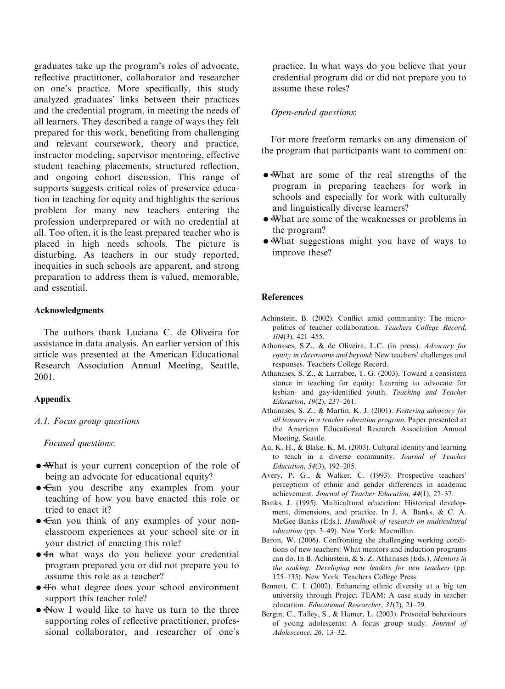<span id="page-16-0"></span>graduates take up the program's roles of advocate, reflective practitioner, collaborator and researcher on one's practice. More specifically, this study analyzed graduates' links between their practices and the credential program, in meeting the needs of all learners. They described a range of ways they felt prepared for this work, benefiting from challenging and relevant coursework, theory and practice, instructor modeling, supervisor mentoring, effective student teaching placements, structured reflection, and ongoing cohort discussion. This range of supports suggests critical roles of preservice education in teaching for equity and highlights the serious problem for many new teachers entering the profession underprepared or with no credential at all. Too often, it is the least prepared teacher who is placed in high needs schools. The picture is disturbing. As teachers in our study reported, inequities in such schools are apparent, and strong preparation to address them is valued, memorable, and essential.

#### Acknowledgments

The authors thank Luciana C. de Oliveira for assistance in data analysis. An earlier version of this article was presented at the American Educational Research Association Annual Meeting, Seattle, 2001.

#### Appendix

#### A.1. Focus group questions

Focused questions:

- � What is your current conception of the role of being an advocate for educational equity?
- Can you describe any examples from your teaching of how you have enacted this role or tried to enact it?
- $\epsilon$ an you think of any examples of your nonclassroom experiences at your school site or in your district of enacting this role?
- $\bullet$  4n what ways do you believe your credential program prepared you or did not prepare you to assume this role as a teacher?
- $\overline{+}$  what degree does your school environment support this teacher role?
- Now I would like to have us turn to the three supporting roles of reflective practitioner, professional collaborator, and researcher of one's

practice. In what ways do you believe that your credential program did or did not prepare you to assume these roles?

#### Open-ended questions:

For more freeform remarks on any dimension of the program that participants want to comment on:

- � What are some of the real strengths of the program in preparing teachers for work in schools and especially for work with culturally and linguistically diverse learners?
- � What are some of the weaknesses or problems in the program?
- What suggestions might you have of ways to improve these?

#### **References**

- Achinstein, B. (2002). Conflict amid community: The micropolitics of teacher collaboration. Teachers College Record, 104(3), 421–455.
- Athanases, S.Z., & de Oliveira, L.C. (in press). Advocacy for equity in classrooms and beyond: New teachers' challenges and responses. Teachers College Record.
- Athanases, S. Z., & Larrabee, T. G. (2003). Toward a consistent stance in teaching for equity: Learning to advocate for lesbian- and gay-identified youth. Teaching and Teacher Education, 19(2), 237–261.
- Athanases, S. Z., & Martin, K. J. (2001). Fostering advocacy for all learners in a teacher education program. Paper presented at the American Educational Research Association Annual Meeting, Seattle.
- Au, K. H., & Blake, K. M. (2003). Cultural identity and learning to teach in a diverse community. Journal of Teacher Education, 54(3), 192–205.
- Avery, P. G., & Walker, C. (1993). Prospective teachers' perceptions of ethnic and gender differences in academic achievement. Journal of Teacher Education, 44(1), 27–37.
- Banks, J. (1995). Multicultural education: Historical development, dimensions, and practice. In J. A. Banks, & C. A. McGee Banks (Eds.), Handbook of research on multicultural education (pp. 3–49). New York: Macmillan.
- Baron, W. (2006). Confronting the challenging working conditions of new teachers: What mentors and induction programs can do. In B. Achinstein, & S. Z. Athanases (Eds.), Mentors in the making: Developing new leaders for new teachers (pp. 125–135). New York: Teachers College Press.
- Bennett, C. I. (2002). Enhancing ethnic diversity at a big ten university through Project TEAM: A case study in teacher education. Educational Researcher, 31(2), 21–29.
- Bergin, C., Talley, S., & Hamer, L. (2003). Prosocial behaviours of young adolescents: A focus group study. Journal of Adolescence, 26, 13–32.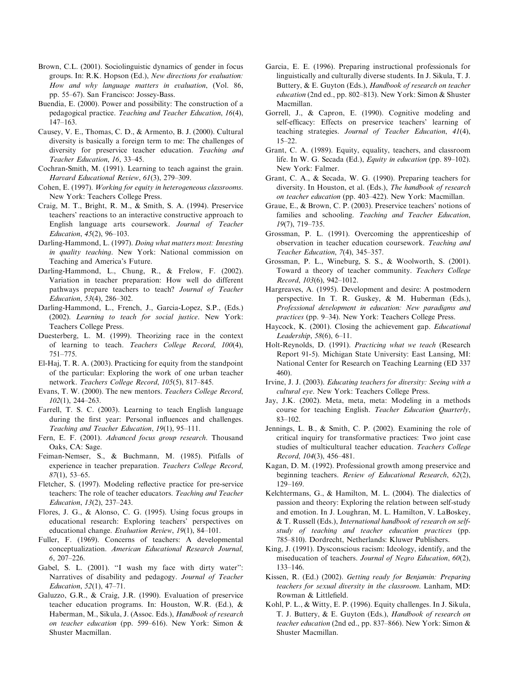- <span id="page-17-0"></span>Brown, C.L. (2001). Sociolinguistic dynamics of gender in focus groups. In: R.K. Hopson (Ed.), New directions for evaluation: How and why language matters in evaluation, (Vol. 86, pp. 55–67). San Francisco: Jossey-Bass.
- Buendía, E. (2000). Power and possibility: The construction of a pedagogical practice. Teaching and Teacher Education, 16(4), 147–163.
- Causey, V. E., Thomas, C. D., & Armento, B. J. (2000). Cultural diversity is basically a foreign term to me: The challenges of diversity for preservice teacher education. Teaching and Teacher Education, 16, 33–45.
- Cochran-Smith, M. (1991). Learning to teach against the grain. Harvard Educational Review, 61(3), 279–309.
- Cohen, E. (1997). Working for equity in heterogeneous classrooms. New York: Teachers College Press.
- Craig, M. T., Bright, R. M., & Smith, S. A. (1994). Preservice teachers' reactions to an interactive constructive approach to English language arts coursework. Journal of Teacher Education, 45(2), 96–103.
- Darling-Hammond, L. (1997). Doing what matters most: Investing in quality teaching. New York: National commission on Teaching and America's Future.
- Darling-Hammond, L., Chung, R., & Frelow, F. (2002). Variation in teacher preparation: How well do different pathways prepare teachers to teach? Journal of Teacher Education, 53(4), 286–302.
- Darling-Hammond, L., French, J., Garcia-Lopez, S.P., (Eds.) (2002). Learning to teach for social justice. New York: Teachers College Press.
- Duesterberg, L. M. (1999). Theorizing race in the context of learning to teach. Teachers College Record, 100(4), 751–775.
- El-Haj, T. R. A. (2003). Practicing for equity from the standpoint of the particular: Exploring the work of one urban teacher network. Teachers College Record, 105(5), 817–845.
- Evans, T. W. (2000). The new mentors. Teachers College Record, 102(1), 244–263.
- Farrell, T. S. C. (2003). Learning to teach English language during the first year: Personal influences and challenges. Teaching and Teacher Education, 19(1), 95–111.
- Fern, E. F. (2001). Advanced focus group research. Thousand Oaks, CA: Sage.
- Feiman-Nemser, S., & Buchmann, M. (1985). Pitfalls of experience in teacher preparation. Teachers College Record, 87(1), 53–65.
- Fletcher, S. (1997). Modeling reflective practice for pre-service teachers: The role of teacher educators. Teaching and Teacher Education, 13(2), 237–243.
- Flores, J. G., & Alonso, C. G. (1995). Using focus groups in educational research: Exploring teachers' perspectives on educational change. Evaluation Review, 19(1), 84–101.
- Fuller, F. (1969). Concerns of teachers: A developmental conceptualization. American Educational Research Journal, 6, 207–226.
- Gabel, S. L. (2001). "I wash my face with dirty water": Narratives of disability and pedagogy. Journal of Teacher Education, 52(1), 47–71.
- Galuzzo, G.R., & Craig, J.R. (1990). Evaluation of preservice teacher education programs. In: Houston, W.R. (Ed.), & Haberman, M., Sikula, J. (Assoc. Eds.), Handbook of research on teacher education (pp. 599–616). New York: Simon & Shuster Macmillan.
- Garcia, E. E. (1996). Preparing instructional professionals for linguistically and culturally diverse students. In J. Sikula, T. J. Buttery, & E. Guyton (Eds.), Handbook of research on teacher education (2nd ed., pp. 802–813). New York: Simon & Shuster Macmillan.
- Gorrell, J., & Capron, E. (1990). Cognitive modeling and self-efficacy: Effects on preservice teachers' learning of teaching strategies. Journal of Teacher Education, 41(4),  $15-22$
- Grant, C. A. (1989). Equity, equality, teachers, and classroom life. In W. G. Secada (Ed.), Equity in education (pp. 89–102). New York: Falmer.
- Grant, C. A., & Secada, W. G. (1990). Preparing teachers for diversity. In Houston, et al. (Eds.), The handbook of research on teacher education (pp. 403–422). New York: Macmillan.
- Graue, E., & Brown, C. P. (2003). Preservice teachers' notions of families and schooling. Teaching and Teacher Education, 19(7), 719–735.
- Grossman, P. L. (1991). Overcoming the apprenticeship of observation in teacher education coursework. Teaching and Teacher Education, 7(4), 345–357.
- Grossman, P. L., Wineburg, S. S., & Woolworth, S. (2001). Toward a theory of teacher community. Teachers College Record, 103(6), 942–1012.
- Hargreaves, A. (1995). Development and desire: A postmodern perspective. In T. R. Guskey, & M. Huberman (Eds.), Professional development in education: New paradigms and practices (pp. 9–34). New York: Teachers College Press.
- Haycock, K. (2001). Closing the achievement gap. *Educational* Leadership, 58(6), 6–11.
- Holt-Reynolds, D. (1991). Practicing what we teach (Research Report 91-5). Michigan State University: East Lansing, MI: National Center for Research on Teaching Learning (ED 337 460).
- Irvine, J. J. (2003). Educating teachers for diversity: Seeing with a cultural eye. New York: Teachers College Press.
- Jay, J.K. (2002). Meta, meta, meta: Modeling in a methods course for teaching English. Teacher Education Quarterly, 83–102.
- Jennings, L. B., & Smith, C. P. (2002). Examining the role of critical inquiry for transformative practices: Two joint case studies of multicultural teacher education. Teachers College Record, 104(3), 456–481.
- Kagan, D. M. (1992). Professional growth among preservice and beginning teachers. Review of Educational Research, 62(2), 129–169.
- Kelchtermans, G., & Hamilton, M. L. (2004). The dialectics of passion and theory: Exploring the relation between self-study and emotion. In J. Loughran, M. L. Hamilton, V. LaBoskey, & T. Russell (Eds.), International handbook of research on selfstudy of teaching and teacher education practices (pp. 785–810). Dordrecht, Netherlands: Kluwer Publishers.
- King, J. (1991). Dysconscious racism: Ideology, identify, and the miseducation of teachers. Journal of Negro Education, 60(2), 133–146.
- Kissen, R. (Ed.) (2002). Getting ready for Benjamin: Preparing teachers for sexual diversity in the classroom. Lanham, MD: Rowman & Littlefield.
- Kohl, P. L., & Witty, E. P. (1996). Equity challenges. In J. Sikula, T. J. Buttery, & E. Guyton (Eds.), Handbook of research on teacher education (2nd ed., pp. 837–866). New York: Simon & Shuster Macmillan.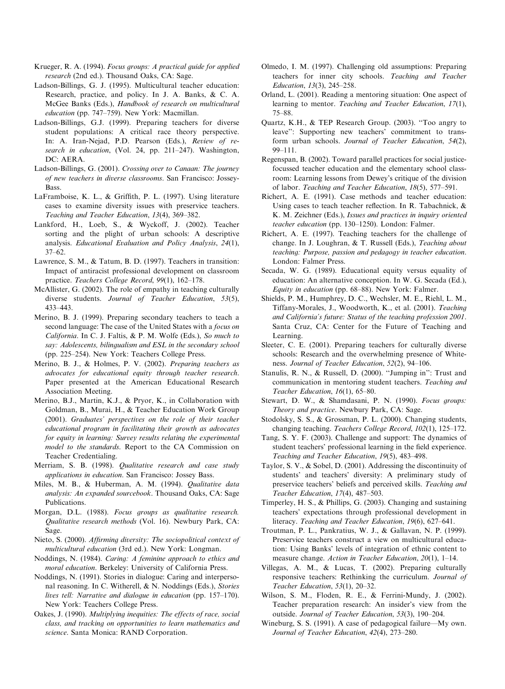- <span id="page-18-0"></span>Krueger, R. A. (1994). Focus groups: A practical guide for applied research (2nd ed.). Thousand Oaks, CA: Sage.
- Ladson-Billings, G. J. (1995). Multicultural teacher education: Research, practice, and policy. In J. A. Banks, & C. A. McGee Banks (Eds.), Handbook of research on multicultural education (pp. 747–759). New York: Macmillan.
- Ladson-Billings, G.J. (1999). Preparing teachers for diverse student populations: A critical race theory perspective. In: A. Iran-Nejad, P.D. Pearson (Eds.), Review of research in education, (Vol. 24, pp. 211-247). Washington, DC: AERA.
- Ladson-Billings, G. (2001). Crossing over to Canaan: The journey of new teachers in diverse classrooms. San Francisco: Jossey-Bass.
- LaFramboise, K. L., & Griffith, P. L. (1997). Using literature cases to examine diversity issues with preservice teachers. Teaching and Teacher Education, 13(4), 369–382.
- Lankford, H., Loeb, S., & Wyckoff, J. (2002). Teacher sorting and the plight of urban schools: A descriptive analysis. Educational Evaluation and Policy Analysis, 24(1), 37–62.
- Lawrence, S. M., & Tatum, B. D. (1997). Teachers in transition: Impact of antiracist professional development on classroom practice. Teachers College Record, 99(1), 162–178.
- McAllister, G. (2002). The role of empathy in teaching culturally diverse students. Journal of Teacher Education, 53(5), 433–443.
- Merino, B. J. (1999). Preparing secondary teachers to teach a second language: The case of the United States with a *focus on* California. In C. J. Faltis, & P. M. Wolfe (Eds.), So much to say: Adolescents, bilingualism and ESL in the secondary school (pp. 225–254). New York: Teachers College Press.
- Merino, B. J., & Holmes, P. V. (2002). Preparing teachers as advocates for educational equity through teacher research. Paper presented at the American Educational Research Association Meeting.
- Merino, B.J., Martin, K.J., & Pryor, K., in Collaboration with Goldman, B., Murai, H., & Teacher Education Work Group (2001). Graduates' perspectives on the role of their teacher educational program in facilitating their growth as advocates for equity in learning: Survey results relating the experimental model to the standards. Report to the CA Commission on Teacher Credentialing.
- Merriam, S. B. (1998). Qualitative research and case study applications in education. San Francisco: Jossey Bass.
- Miles, M. B., & Huberman, A. M. (1994). Qualitative data analysis: An expanded sourcebook. Thousand Oaks, CA: Sage Publications.
- Morgan, D.L. (1988). Focus groups as qualitative research. Qualitative research methods (Vol. 16). Newbury Park, CA: Sage.
- Nieto, S. (2000). Affirming diversity: The sociopolitical context of multicultural education (3rd ed.). New York: Longman.
- Noddings, N. (1984). Caring: A feminine approach to ethics and moral education. Berkeley: University of California Press.
- Noddings, N. (1991). Stories in dialogue: Caring and interpersonal reasoning. In C. Witherell, & N. Noddings (Eds.), Stories lives tell: Narrative and dialogue in education (pp. 157–170). New York: Teachers College Press.
- Oakes, J. (1990). Multiplying inequities: The effects of race, social class, and tracking on opportunities to learn mathematics and science. Santa Monica: RAND Corporation.
- Olmedo, I. M. (1997). Challenging old assumptions: Preparing teachers for inner city schools. Teaching and Teacher Education, 13(3), 245–258.
- Orland, L. (2001). Reading a mentoring situation: One aspect of learning to mentor. Teaching and Teacher Education, 17(1), 75–88.
- Quartz, K.H., & TEP Research Group. (2003). ''Too angry to leave'': Supporting new teachers' commitment to transform urban schools. Journal of Teacher Education, 54(2), 99–111.
- Regenspan, B. (2002). Toward parallel practices for social justicefocussed teacher education and the elementary school classroom: Learning lessons from Dewey's critique of the division of labor. Teaching and Teacher Education, 18(5), 577–591.
- Richert, A. E. (1991). Case methods and teacher education: Using cases to teach teacher reflection. In R. Tabachnick, & K. M. Zeichner (Eds.), Issues and practices in inquiry oriented teacher education (pp. 130–1250). London: Falmer.
- Richert, A. E. (1997). Teaching teachers for the challenge of change. In J. Loughran, & T. Russell (Eds.), Teaching about teaching: Purpose, passion and pedagogy in teacher education. London: Falmer Press.
- Secada, W. G. (1989). Educational equity versus equality of education: An alternative conception. In W. G. Secada (Ed.), Equity in education (pp. 68–88). New York: Falmer.
- Shields, P. M., Humphrey, D. C., Wechsler, M. E., Riehl, L. M., Tiffany-Morales, J., Woodworth, K., et al. (2001). Teaching and California's future: Status of the teaching profession 2001. Santa Cruz, CA: Center for the Future of Teaching and Learning.
- Sleeter, C. E. (2001). Preparing teachers for culturally diverse schools: Research and the overwhelming presence of Whiteness. Journal of Teacher Education, 52(2), 94–106.
- Stanulis, R. N., & Russell, D. (2000). ''Jumping in'': Trust and communication in mentoring student teachers. Teaching and Teacher Education, 16(1), 65–80.
- Stewart, D. W., & Shamdasani, P. N. (1990). Focus groups: Theory and practice. Newbury Park, CA: Sage.
- Stodolsky, S. S., & Grossman, P. L. (2000). Changing students, changing teaching. Teachers College Record, 102(1), 125–172.
- Tang, S. Y. F. (2003). Challenge and support: The dynamics of student teachers' professional learning in the field experience. Teaching and Teacher Education, 19(5), 483–498.
- Taylor, S. V., & Sobel, D. (2001). Addressing the discontinuity of students' and teachers' diversity: A preliminary study of preservice teachers' beliefs and perceived skills. Teaching and Teacher Education, 17(4), 487–503.
- Timperley, H. S., & Phillips, G. (2003). Changing and sustaining teachers' expectations through professional development in literacy. Teaching and Teacher Education, 19(6), 627–641.
- Troutman, P. L., Pankratius, W. J., & Gallavan, N. P. (1999). Preservice teachers construct a view on multicultural education: Using Banks' levels of integration of ethnic content to measure change. Action in Teacher Education, 20(1), 1–14.
- Villegas, A. M., & Lucas, T. (2002). Preparing culturally responsive teachers: Rethinking the curriculum. Journal of Teacher Education, 53(1), 20–32.
- Wilson, S. M., Floden, R. E., & Ferrini-Mundy, J. (2002). Teacher preparation research: An insider's view from the outside. Journal of Teacher Education, 53(3), 190–204.
- Wineburg, S. S. (1991). A case of pedagogical failure—My own. Journal of Teacher Education, 42(4), 273–280.